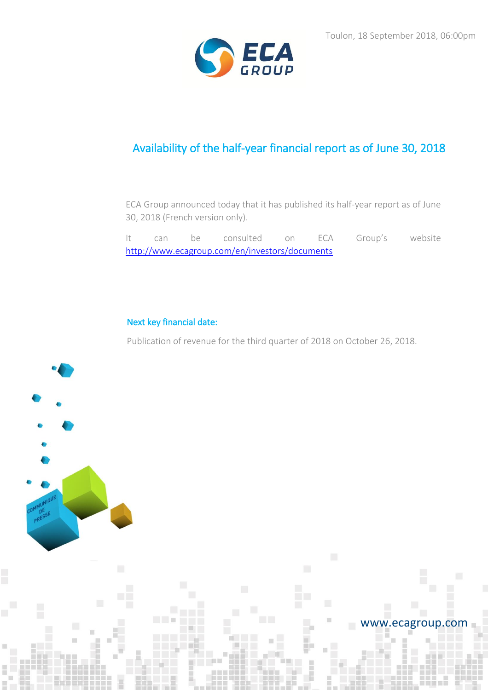

# Availability of the half-year financial report as of June 30, 2018

ECA Group announced today that it has published its half-year report as of June 30, 2018 (French version only).

It can be consulted on ECA Group's website <http://www.ecagroup.com/en/investors/documents>

# Next key financial date:

Publication of revenue for the third quarter of 2018 on October 26, 2018.



## www.ecagroup.com